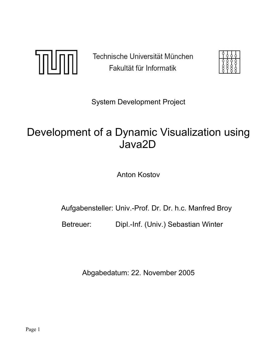TILINI

Technische Universität München Fakultät für Informatik

System Development Project

# Development of a Dynamic Visualization using Java2D

Anton Kostov

Aufgabensteller: Univ.-Prof. Dr. Dr. h.c. Manfred Broy

Betreuer: Dipl.-Inf. (Univ.) Sebastian Winter

Abgabedatum: 22. November 2005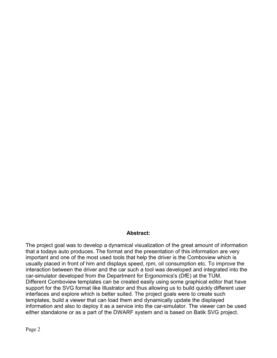#### **Abstract:**

The project goal was to develop a dynamical visualization of the great amount of information that a todays auto produces. The format and the presentation of this information are very important and one of the most used tools that help the driver is the Comboview which is usually placed in front of him and displays speed, rpm, oil consumption etc. To improve the interaction between the driver and the car such a tool was developed and integrated into the car-simulator developed from the Department for Ergonomics's (DfE) at the TUM. Different Comboview templates can be created easily using some graphical editor that have support for the SVG format like Illustrator and thus allowing us to build quickly different user interfaces and explore which is better suited. The project goals were to create such templates, build a viewer that can load them and dynamically update the displayed information and also to deploy it as a service into the car-simulator. The viewer can be used either standalone or as a part of the DWARF system and is based on Batik SVG project.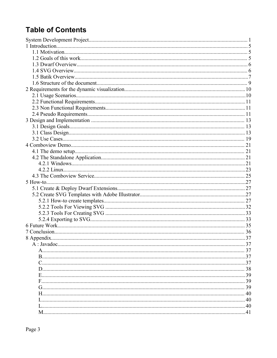## **Table of Contents**

| 8 Appendix. |  |
|-------------|--|
|             |  |
|             |  |
|             |  |
|             |  |
|             |  |
|             |  |
|             |  |
|             |  |
|             |  |
|             |  |
|             |  |
|             |  |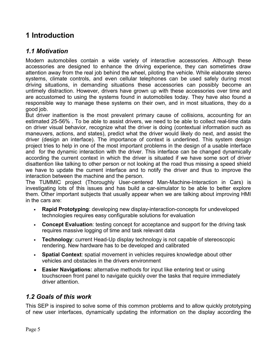## **1 Introduction**

### *1.1 Motivation*

Modern automobiles contain a wide variety of interactive accessories. Although these accessories are designed to enhance the driving experience, they can sometimes draw attention away from the real job behind the wheel, piloting the vehicle. While elaborate stereo systems, climate controls, and even cellular telephones can be used safely during most driving situations, in demanding situations these accessories can possibly become an untimely distraction. However, drivers have grown up with these accessories over time and are accustomed to using the systems found in automobiles today. They have also found a responsible way to manage these systems on their own, and in most situations, they do a good job.

But driver inattention is the most prevalent primary cause of collisions, accounting for an estimated 25-56% . To be able to assist drivers, we need to be able to collect real-time data on driver visual behavior, recognize what the driver is doing (contextual information such as maneuvers, actions, and states), predict what the driver would likely do next, and assist the driver (design an interface). The importance of context is underlined. This system design project tries to help in one of the most important problems in the design of a usable interface and for the dynamic interaction with the driver. This interface can be changed dynamically according the current context in which the driver is situated if we have some sort of driver disattention like talking to other person or not looking at the road thus missing a speed shield we have to update the current interface and to notify the driver and thus to improve the interaction between the machine and the person.

The TUMMIC project (Thoroughly User-centered Man-Machine-Interaction in Cars) is investigating lots of this issues and has build a car-simulator to be able to better explore them. Other important subjects that usually appear when we are talking about improving HMI in the cars are:

- **Rapid Prototyping**: developing new display-interaction-concepts for undeveloped technologies requires easy configurable solutions for evaluation
- **Concept Evaluation**: testing concept for acceptance and support for the driving task requires massive logging of time and task relevant data
- **Technology**: current Head-Up display technology is not capable of stereoscopic rendering. New hardware has to be developed and calibrated
- **Spatial Context**: spatial movement in vehicles requires knowledge about other vehicles and obstacles in the drivers environment
- **• Easier Navigations:** alternative methods for input like entering text or using touchscreen front panel to navigate quickly over the tasks that require immediately driver attention.

### *1.2 Goals of this work*

This SEP is inspired to solve some of this common problems and to allow quickly prototyping of new user interfaces, dynamically updating the information on the display according the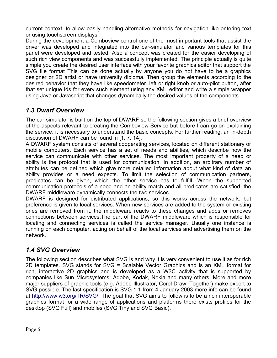current context, to allow easily handling alternative methods for navigation like entering text or using touchscreen displays.

During the development a Comboview control one of the most important tools that assist the driver was developed and integrated into the car-simulator and various templates for this panel were developed and tested. Also a concept was created for the easier developing of such rich view components and was successfully implemented. The principle actually is quite simple you create the desired user interface with your favorite graphics editor that support the SVG file format This can be done actually by anyone you do not have to be a graphics designer or 2D artist or have university diploma. Then group the elements according to the desired behavior that they have like speedometer, left or right knob or auto-pilot button, after that set unique Ids for every such element using any XML editor and write a simple wrapper using Java or Javascript that changes dynamically the desired values of the components.

## *1.3 Dwarf Overview*

The car-simulator is built on the top of DWARF so the following section gives a brief overview of the aspects relevant to creating the Comboview Service but before I can go on explaining the service, it is necessary to understand the basic concepts. For further reading, an in-depth discussion of DWARF can be found in [1, 7, 14].

A DWARF system consists of several cooperating services, located on different stationary or mobile computers. Each service has a set of needs and abilities, which describe how the service can communicate with other services. The most important property of a need or ability is the protocol that is used for communication. In addition, an arbitrary number of attributes can be defined which give more detailed information about what kind of data an ability provides or a need expects. To limit the selection of communication partners, predicates can be given, which the other service has to fulfill. When the supported communication protocols of a need and an ability match and all predicates are satisfied, the DWARF middleware dynamically connects the two services.

DWARF is designed for distributed applications, so this works across the network, but preference is given to local services. When new services are added to the system or existing ones are removed from it, the middleware reacts to these changes and adds or removes connections between services.The part of the DWARF middleware which is responsible for locating and connecting services is called the service manager. Usually one instance is running on each computer, acting on behalf of the local services and advertising them on the network.

### *1.4 SVG Overview*

The following section describes what SVG is and why it is very convenient to use it as for rich 2D templates. SVG stands for SVG = Scalable Vector Graphics and is an XML format for rich, interactive 2D graphics and is developed as a W3C activity that is supported by companies like Sun Microsystems, Adobe, Kodak, Nokia and many others. More and more major suppliers of graphic tools (e.g. Adobe Illustrator, Corel Draw, Together) make export to SVG possible. The last specification is SVG 1.1 from 4 January 2003 more info can be found at http://www.w3.org/TR/SVG/. The goal that SVG aims to follow is to be a rich interoperable graphics format for a wide range of applications and platforms there exists profiles for the desktop (SVG Full) and mobiles (SVG Tiny and SVG Basic).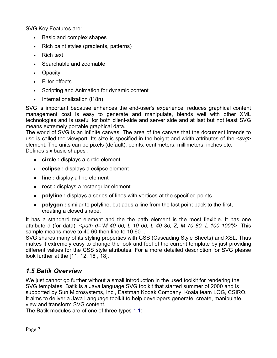SVG Key Features are:

- Basic and complex shapes
- Rich paint styles (gradients, patterns)
- Rich text
- Searchable and zoomable
- Opacity
- Filter effects
- Scripting and Animation for dynamic content
- Internationalization (i18n)

SVG is important because enhances the end-user's experience, reduces graphical content management cost is easy to generate and manipulate, blends well with other XML technologies and is useful for both client-side and server side and at last but not least SVG means extremely portable graphical data.

The world of SVG is an infinite canvas. The area of the canvas that the document intends to use is called the viewport. Its size is specified in the height and width attributes of the *<svg>* element. The units can be pixels (default), points, centimeters, millimeters, inches etc. Defines six basic shapes :

- **• circle :** displays a circle element
- **eclipse :** displays a eclipse element
- **• line :** display a line element
- **• rect :** displays a rectangular element
- **• polyline :** displays a series of lines with vertices at the specified points.
- **• polygon :** similar to polyline, but adds a line from the last point back to the first, creating a closed shape.

It has a standard text element and the the path element is the most flexible. It has one attribute d (for data). *<path d="M 40 60, L 10 60, L 40 30, Z, M 70 80, L 100 100"/>* .This sample means move to 40 60 then line to 10 60 ... .

SVG shares many of its styling properties with CSS (Cascading Style Sheets) and XSL. Thus makes it extremely easy to change the look and feel of the current template by just providing different values for the CSS style attributes. For a more detailed description for SVG please look further at the [11, 12, 16 , 18].

## *1.5 Batik Overview*

We just cannot go further without a small introduction in the used toolkit for rendering the SVG templates. Batik is a Java language SVG toolkit that started summer of 2000 and is supported by Sun Microsystems, Inc., Eastman Kodak Company, Koala team LOG, CSIRO. It aims to deliver a Java Language toolkit to help developers generate, create, manipulate, view and transform SVG content.

The Batik modules are of one of three types  $1.1$ :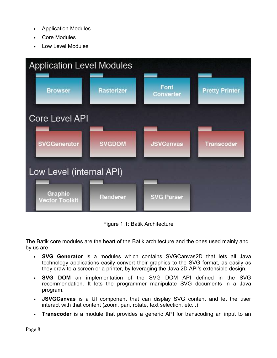- Application Modules
- Core Modules
- Low Level Modules



Figure 1.1: Batik Architecture

The Batik core modules are the heart of the Batik architecture and the ones used mainly and by us are

- **SVG Generator** is a modules which contains SVGCanvas2D that lets all Java technology applications easily convert their graphics to the SVG format, as easily as they draw to a screen or a printer, by leveraging the Java 2D API's extensible design.
- **SVG DOM** an implementation of the SVG DOM API defined in the SVG recommendation. It lets the programmer manipulate SVG documents in a Java program.
- **JSVGCanvas** is a UI component that can display SVG content and let the user interact with that content (zoom, pan, rotate, text selection, etc...)
- **Transcoder** is a module that provides a generic API for transcoding an input to an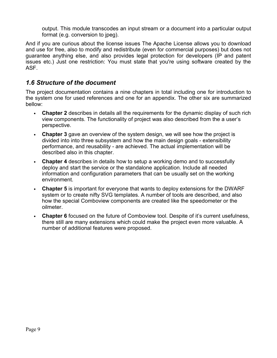output. This module transcodes an input stream or a document into a particular output format (e.g. conversion to jpeg).

And if you are curious about the license issues The Apache License allows you to download and use for free, also to modify and redistribute (even for commercial purposes) but does not guarantee anything else, and also provides legal protection for developers (IP and patent issues etc.) Just one restriction: You must state that you're using software created by the ASF.

### *1.6 Structure of the document*

The project documentation contains a nine chapters in total including one for introduction to the system one for used references and one for an appendix. The other six are summarized bellow:

- **Chapter 2** describes in details all the requirements for the dynamic display of such rich view components. The functionality of project was also described from the a user's perspective.
- **Chapter 3** gave an overview of the system design, we will see how the project is divided into into three subsystem and how the main design goals - extensibility performance, and reusability - are achieved. The actual implementation will be described also in this chapter.
- **Chapter 4** describes in details how to setup a working demo and to successfully deploy and start the service or the standalone application. Include all needed information and configuration parameters that can be usually set on the working environment.
- **Chapter 5** is important for everyone that wants to deploy extensions for the DWARF system or to create nifty SVG templates. A number of tools are described, and also how the special Comboview components are created like the speedometer or the oilmeter.
- **Chapter 6** focused on the future of Comboview tool. Despite of it's current usefulness, there still are many extensions which could make the project even more valuable. A number of additional features were proposed.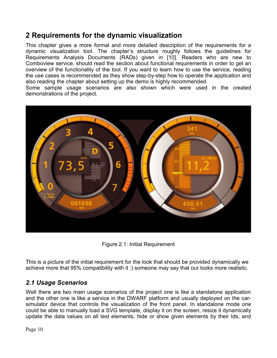## **2 Requirements for the dynamic visualization**

This chapter gives a more formal and more detailed description of the requirements for a dynamic visualization tool. The chapter's structure roughly follows the guidelines for Requirements Analysis Documents (RADs) given in [10]. Readers who are new to Comboview service, should read the section about functional requirements in order to get an overview of the functionality of the tool. If you want to learn how to use the service, reading the use cases is recommended as they show step-by-step how to operate the application and also reading the chapter about setting up the demo is highly recommended.

Some sample usage scenarios are also shown which were used in the created demonstrations of the project.



Figure 2.1: Initial Requirement

This is a picture of the initial requirement for the look that should be provided dynamically we achieve more that 95% compatibility with it :) someone may say that our looks more realistic.

## *2.1 Usage Scenarios*

Well there are two main usage scenarios of the project one is like a standalone application and the other one is like a service in the DWARF platform and usually deployed on the carsimulator device that controls the visualization of the front panel. In standalone mode one could be able to manually load a SVG template, display it on the screen, resize it dynamically update the data values on all text elements, hide or show given elements by their Ids, and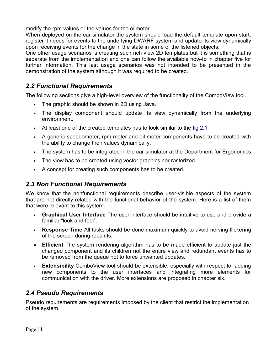modify the rpm values or the values for the oilmeter.

When deployed on the car-simulator the system should load the default template upon start, register it needs for events to the underlying DWARF system and update its view dynamically upon receiving events for the change in the state in some of the listened objects.

One other usage scenarios is creating such rich view 2D templates but it is something that is separate from the implementation and one can follow the available how-to in chapter five for further information. This last usage scenarios was not intended to be presented in the demonstration of the system although it was required to be created.

## *2.2 Functional Requirements*

The following sections give a high-level overview of the functionality of the ComboView tool.

- The graphic should be shown in 2D using Java.
- The display component should update its view dynamically from the underlying environment.
- At least one of the created templates has to look similar to the  $\underline{f}$  ig 2.1
- A generic speedometer, rpm meter and oil meter components have to be created with the ability to change their values dynamically.
- The system has to be integrated in the car-simulator at the Department for Ergonomics
- The view has to be created using vector graphics nor rasterized.
- A concept for creating such components has to be created.

## *2.3 Non Functional Requirements*

We know that the nonfunctional requirements describe user-visible aspects of the system that are not directly related with the functional behavior of the system. Here is a list of them that were relevant to this system.

- **Graphical User Interface** The user interface should be intuitive to use and provide a familiar "look and feel".
- **Response Time** All tasks should be done maximum quickly to avoid nerving flickering of the screen during repaints.
- **• Efficient** The system rendering algorithm has to be made efficient to update just the changed component and its children not the entire view and redundant events has to be removed from the queue not to force unwanted updates.
- **Extensibility** ComboView tool should be extensible, especially with respect to adding new components to the user interfaces and integrating more elements for communication with the driver. More extensions are proposed in chapter six.

## *2.4 Pseudo Requirements*

Pseudo requirements are requirements imposed by the client that restrict the implementation of the system.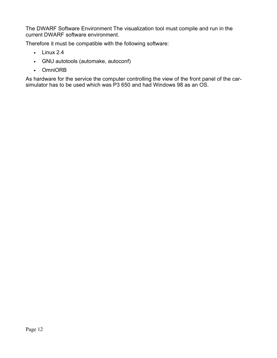The DWARF Software Environment The visualization tool must compile and run in the current DWARF software environment.

Therefore it must be compatible with the following software:

- $\cdot$  Linux 2.4
- GNU autotools (automake, autoconf)
- OmniORB

As hardware for the service the computer controlling the view of the front panel of the carsimulator has to be used which was P3 650 and had Windows 98 as an OS.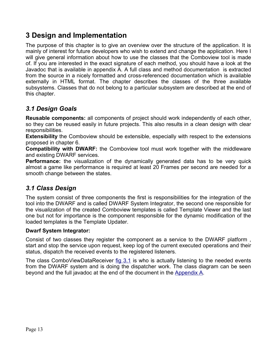## **3 Design and Implementation**

The purpose of this chapter is to give an overview over the structure of the application. It is mainly of interest for future developers who wish to extend and change the application. Here I will give general information about how to use the classes that the Comboview tool is made of. If you are interested in the exact signature of each method, you should have a look at the Javadoc that is available in appendix A. A full class and method documentation is extracted from the source in a nicely formatted and cross-referenced documentation which is available externally in HTML format. The chapter describes the classes of the three available subsystems. Classes that do not belong to a particular subsystem are described at the end of this chapter.

## *3.1 Design Goals*

**Reusable components:** all components of project should work independently of each other, so they can be reused easily in future projects. This also results in a clean design with clear responsibilities.

**Extensibility** the Comboview should be extensible, especially with respect to the extensions proposed in chapter 6.

**Compatibility with DWARF:** the Comboview tool must work together with the middleware and existing DWARF services.

**Performance:** the visualization of the dynamically generated data has to be very quick almost a game like performance is required at least 20 Frames per second are needed for a smooth change between the states.

### *3.1 Class Design*

The system consist of three components the first is responsibilities for the integration of the tool into the DWARF and is called DWARF System Integrator, the second one responsible for the visualization of the created Comboview templates is called Template Viewer and the last one but not for importance is the component responsible for the dynamic modification of the loaded templates is the Template Updater.

#### **Dwarf System Integrator:**

Consist of two classes they register the component as a service to the DWARF platform , start and stop the service upon request, keep log of the current executed operations and their status, dispatch the received events to the registered listeners.

The class ComboViewDataReceiver fig 3.1 is who is actually listening to the needed events from the DWARF system and is doing the dispatcher work. The class diagram can be seen beyond and the full javadoc at the end of the document in the Appendix A.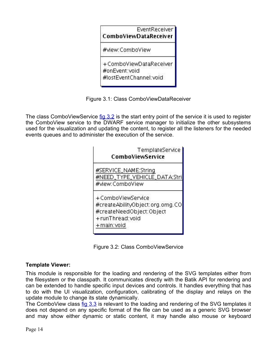

Figure 3.1: Class ComboViewDataReceiver

The class ComboViewService fig 3.2 is the start entry point of the service it is used to register the ComboView service to the DWARF service manager to initialize the other subsystems used for the visualization and updating the content, to register all the listeners for the needed events queues and to administer the execution of the service.



Figure 3.2: Class ComboViewService

#### **Template Viewer:**

This module is responsible for the loading and rendering of the SVG templates either from the filesystem or the classpath. It communicates directly with the Batik API for rendering and can be extended to handle specific input devices and controls. It handles everything that has to do with the UI visualization, configuration, calibrating of the display and relays on the update module to change its state dynamically.

The ComboView class fig 3.3 is relevant to the loading and rendering of the SVG templates it does not depend on any specific format of the file can be used as a generic SVG browser and may show either dynamic or static content, it may handle also mouse or keyboard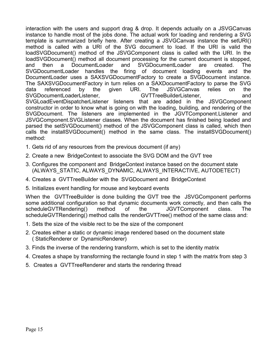interaction with the users and support drag & drop. It depends actually on a JSVGCanvas instance to handle most of the jobs done. The actual work for loading and rendering a SVG template is summarized briefly here. After creating a JSVGCanvas instance the setURI() method is called with a URI of the SVG document to load. If the URI is valid the loadSVGDocument() method of the JSVGComponent class is called with the URI. In the loadSVGDocument() method all document processing for the current document is stopped, and then a DocumentLoader and SVGDocumentLoader are created. The SVGDocumentLoader handles the firing of document loading events and the DocumentLoader uses a SAXSVGDocumentFactory to create a SVGDocument instance. The SAXSVGDocumentFactory in turn relies on a SAXDocumentFactory to parse the SVG data referenced by the given URI. The JSVGCanvas relies on the SVGDocumentLoaderListener, GVTTreeBuilderListener, and SVGLoadEventDispatcherListener listeners that are added in the JSVGComponent constructor in order to know what is going on with the loading, building, and rendering of the SVGDocument. The listeners are implemented in the JGVTComponent.Listener and JSVGComponent.SVGListener classes. When the document has finished being loaded and parsed the setSVGDocument() method of the JSVGComponent class is called, which then calls the installSVGDocument() method in the same class. The installSVGDocument() method:

- 1. Gets rid of any resources from the previous document (if any)
- 2. Create a new BridgeContext to associate the SVG DOM and the GVT tree
- 3. Configures the component and BridgeContext instance based on the document state (ALWAYS\_STATIC, ALWAYS\_DYNAMIC, ALWAYS\_INTERACTIVE, AUTODETECT)
- 4. Creates a GVTTreeBuilder with the SVGDocument and BridgeContext
- 5. Initializes event handling for mouse and keyboard events

When the GVTTreeBuilder is done building the GVT tree the JSVGComponent performs some additional configuration so that dynamic documents work correctly, and then calls the scheduleGVTRendering() method of the JGVTComponent class. The scheduleGVTRendering() method calls the renderGVTTree() method of the same class and:

- 1. Sets the size of the visible rect to be the size of the component
- 2. Creates either a static or dynamic image rendered based on the document state ( StaticRenderer or DynamicRenderer)
- 3. Finds the inverse of the rendering transform, which is set to the identity matrix
- 4. Creates a shape by transforming the rectangle found in step 1 with the matrix from step 3
- 5. Creates a GVTTreeRenderer and starts the rendering thread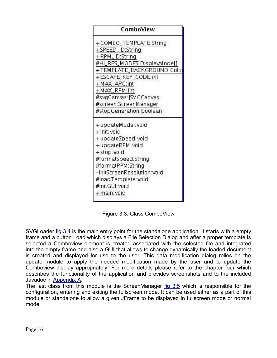| ComboView                   |  |  |  |  |
|-----------------------------|--|--|--|--|
| +COMBO_TEMPLATE:String      |  |  |  |  |
| +SPEED_ID:String            |  |  |  |  |
| +RPM_ID:String              |  |  |  |  |
| #HI_RES_MODES:DisplayMode[] |  |  |  |  |
| +TEMPLATE_BACKGROUND:Colo   |  |  |  |  |
| +ESCAPE_KEY_CODE:int        |  |  |  |  |
| +MAX_ARC:int                |  |  |  |  |
| +MAX_RPM:int                |  |  |  |  |
| #svgCanvas: JSVGCanvas      |  |  |  |  |
| #screen:ScreenManager       |  |  |  |  |
| #stopGeneration:boolean     |  |  |  |  |
| +updateModel:void           |  |  |  |  |
| + init: void                |  |  |  |  |
| +updateSpeed:void           |  |  |  |  |
| +updateRPM:void             |  |  |  |  |
| +stop:void                  |  |  |  |  |
| #formatSpeed:String         |  |  |  |  |
| #formatRPM:String           |  |  |  |  |
| -initScreenResolution:void  |  |  |  |  |
| #loadTemplate:void          |  |  |  |  |
| #initGUI:void               |  |  |  |  |
| +main:void                  |  |  |  |  |

Figure 3.3: Class ComboView

SVGLoader fig 3.4 is the main entry point for the standalone application, it starts with a empty frame and a button Load which displays a File Selection Dialog and after a proper template is selected a Comboview element is created associated with the selected file and integrated into the empty frame and also a GUI that allows to change dynamically the loaded document is created and displayed for use to the user. This data modification dialog relies on the update module to apply the needed modification made by the user and to update the Comboview display appropriately. For more details please refer to the chapter four which describes the functionality of the application and provides screenshots and to the included Javadoc in Appendix A.

The last class from this module is the ScreenManager fig 3.5 which is responsible for the configuration, entering and exiting the fullscreen mode. It can be used either as a part of this module or standalone to allow a given JFrame to be displayed in fullscreen mode or normal mode.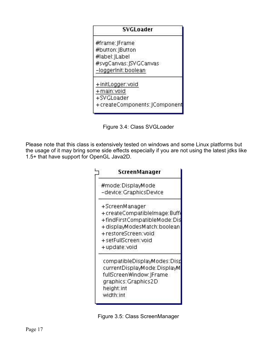| SVGLoader                      |  |  |
|--------------------------------|--|--|
| #frame: JFrame                 |  |  |
| #button: JButton               |  |  |
| #label: JLabel                 |  |  |
| #svgCanvas: JSVGCanvas         |  |  |
| -loggerInit:boolean            |  |  |
| +initLogger:void               |  |  |
| +main:void                     |  |  |
| +SVGLoader                     |  |  |
| + createComponents: JComponent |  |  |

Figure 3.4: Class SVGLoader

Please note that this class is extensively tested on windows and some Linux platforms but the usage of it may bring some side effects especially if you are not using the latest jdks like 1.5+ that have support for OpenGL Java2D.



Figure 3.5: Class ScreenManager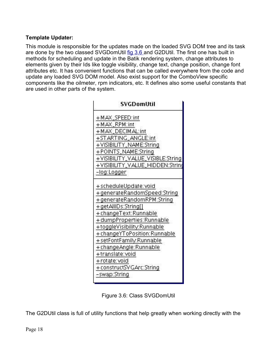#### **Template Updater:**

This module is responsible for the updates made on the loaded SVG DOM tree and its task are done by the two classed SVGDomUtil fig 3.6 and G2DUtil. The first one has built in methods for scheduling and update in the Batik rendering system, change attributes to elements given by their Ids like toggle visibility, change text, change position, change font attributes etc. It has convenient functions that can be called everywhere from the code and update any loaded SVG DOM model. Also exist support for the ComboView specific components like the oilmeter, rpm indicators, etc. It defines also some useful constants that are used in other parts of the system.

| SVGDomUtil                                                                                                                                                                                                                                                                                                                                                        |  |  |  |  |
|-------------------------------------------------------------------------------------------------------------------------------------------------------------------------------------------------------------------------------------------------------------------------------------------------------------------------------------------------------------------|--|--|--|--|
| +MAX_SPEED:int<br>+MAX_RPM:int<br>+ MAX_DECIMAL:int<br>+STARTING_ANGLE:int<br>+VISIBILITY_NAME:String                                                                                                                                                                                                                                                             |  |  |  |  |
| +POINTS_NAME:String<br>+VISIBILITY_VALUE_VISIBLE:String<br>+VISIBILITY_VALUE_HIDDEN:String<br>-log:Logger                                                                                                                                                                                                                                                         |  |  |  |  |
| +scheduleUpdate:void<br>+generateRandomSpeed:String<br>+generateRandomRPM:String<br>+getAllIDs:String[]<br>+ changeText: Runnable<br>+dumpProperties:Runnable<br>+toggleVisibility.Runnable<br>+ changeYToPosition: Runnable<br>+setFontFamily Runnable<br>+ changeAngle: Runnable<br>+translate:void<br>+rotate:void<br>+ constructSVGArc:String<br>-swap:String |  |  |  |  |

Figure 3.6: Class SVGDomUtil

The G2DUtil class is full of utility functions that help greatly when working directly with the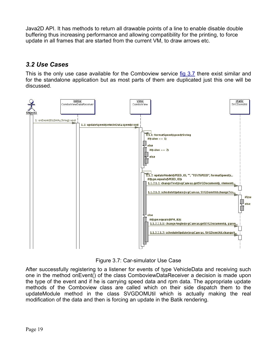Java2D API. It has methods to return all drawable points of a line to enable disable double buffering thus increasing performance and allowing compatibility for the printing, to force update in all frames that are started from the current VM, to draw arrows etc.

## *3.2 Use Cases*

This is the only use case available for the Comboview service fig 3.7 there exist similar and for the standalone application but as most parts of them are duplicated just this one will be discussed.



Figure 3.7: Car-simulator Use Case

After successfully registering to a listener for events of type VehicleData and receiving such one in the method onEvent() of the class ComboviewDataReceiver a decision is made upon the type of the event and if he is carrying speed data and rpm data. The appropriate update methods of the Comboview class are called which on their side dispatch them to the updateModule method in the class SVGDOMUtil which is actually making the real modification of the data and then is forcing an update in the Batik rendering.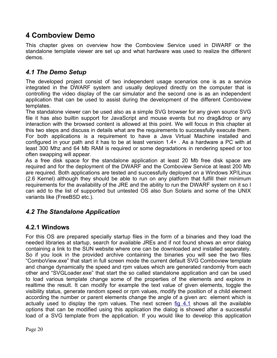## **4 Comboview Demo**

This chapter gives on overview how the Comboview Service used in DWARF or the standalone template viewer are set up and what hardware was used to realize the different demos.

### *4.1 The Demo Setup*

The developed project consist of two independent usage scenarios one is as a service integrated in the DWARF system and usually deployed directly on the computer that is controlling the video display of the car simulator and the second one is as an independent application that can be used to assist during the development of the different Comboview templates.

The standalone viewer can be used also as a simple SVG browser for any given source SVG file it has also builtin support for JavaScript and mouse events but no drag&drop or any interaction with the browsed content is allowed at this point. We will focus in this chapter at this two steps and discuss in details what are the requirements to successfully execute them. For both applications is a requirement to have a Java Virtual Machine installed and configured in your path and it has to be at least version 1.4+ . As a hardware a PC with at least 300 Mhz and 64 Mb RAM is required or some degradations in rendering speed or too often swapping will appear.

As a free disk space for the standalone application at least 20 Mb free disk space are required and for the deployment of the DWARF and the Comboview Service at least 200 Mb are required. Both applications are tested and successfully deployed on a Windows XP/Linux (2.6 Kernel) although they should be able to run on any platform that fulfill their minimum requirements for the availability of the JRE and the ability to run the DWARF system on it so I can add to the list of supported but untested OS also Sun Solaris and some of the UNIX variants like (FreeBSD etc.).

### *4.2 The Standalone Application*

### **4.2.1 Windows**

For this OS are prepared specially startup files in the form of a binaries and they load the needed libraries at startup, search for available JREs and if not found shows an error dialog containing a link to the SUN website where one can be downloaded and installed separately. So if you look in the provided archive containing the binaries you will see the two files "ComboView.exe" that start in full screen mode the current default SVG Comboview template and change dynamically the speed and rpm values which are generated randomly from each other and "SVGLoader.exe" that start the so called standalone application and can be used to load various template change some of the properties of the elements and explore in realtime the result. It can modify for example the text value of given elements, toggle the visibility status, generate random speed or rpm values, modify the position of a child element according the number or parent elements change the angle of a given arc element which is actually used to display the rpm values. The next screen fig 4.1 shows all the available options that can be modified using this application the dialog is showed after a successful load of a SVG template from the application. If you would like to develop this application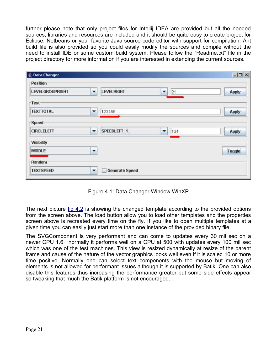further please note that only project files for Intellij IDEA are provided but all the needed sources, libraries and resources are included and it should be quite easy to create project for Eclipse, Netbeans or your favorite Java source code editor with support for compilation. Ant build file is also provided so you could easily modify the sources and compile without the need to install IDE or some custom build system. Please follow the "Readme.txt" file in the project directory for more information if you are interested in extending the current sources.

| <b>E</b> Data Changer  |                          |                       |                                | $-10 \times$ |
|------------------------|--------------------------|-----------------------|--------------------------------|--------------|
| <b>Position</b>        |                          |                       |                                |              |
| <b>LEVELGROUPRIGHT</b> | $\overline{\phantom{a}}$ | <b>LEVELRIGHT</b>     | 21<br>$\overline{\phantom{a}}$ | Apply        |
| Text                   |                          |                       |                                |              |
| <b>TEXTTOTAL</b>       | ۰                        | 123456                |                                | Apply        |
| Speed                  |                          |                       |                                |              |
| <b>CIRCLELEFT</b>      | ▼                        | SPEEDLEFT_1_          | 124<br>▼                       | Apply        |
| Visibility             |                          |                       |                                |              |
| MIDDLE                 | ▼                        |                       |                                | Toggle       |
| Random                 |                          |                       |                                |              |
| <b>TEXTSPEED</b>       | ▼                        | <b>Generate Speed</b> |                                |              |

Figure 4.1: Data Changer Window WinXP

The next picture fig 4.2 is showing the changed template according to the provided options from the screen above. The load button allow you to load other templates and the properties screen above is recreated every time on the fly. If you like to open multiple templates at a given time you can easily just start more than one instance of the provided binary file.

The SVGComponent is very performant and can come to updates every 30 mil sec on a newer CPU 1.6+ normally it performs well on a CPU at 500 with updates every 100 mil sec which was one of the test machines. This view is resized dynamically at resize of the parent frame and cause of the nature of the vector graphics looks well even if it is scaled 10 or more time positive. Normally one can select text components with the mouse but moving of elements is not allowed for performant issues although it is supported by Batik. One can also disable this features thus increasing the performance greater but some side effects appear so tweaking that much the Batik platform is not encouraged.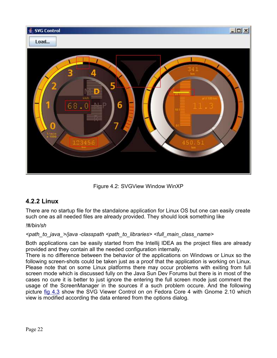

Figure 4.2: SVGView Window WinXP

## **4.2.2 Linux**

There are no startup file for the standalone application for Linux OS but one can easily create such one as all needed files are already provided. They should look something like

#### *!#/bin/sh*

#### *<path\_to\_java\_>/java -classpath <path\_to\_libraries> <full\_main\_class\_name>*

Both applications can be easily started from the Intellij IDEA as the project files are already provided and they contain all the needed configuration internally.

There is no difference between the behavior of the applications on Windows or Linux so the following screen-shots could be taken just as a proof that the application is working on Linux. Please note that on some Linux platforms there may occur problems with exiting from full screen mode which is discussed fully on the Java Sun Dev Forums but there is in most of the cases no cure it is better to just ignore the entering the full screen mode just comment the usage of the ScreenManager in the sources if a such problem occure. And the following picture fig 4.3 show the SVG Viewer Control on on Fedora Core 4 with Gnome 2.10 which view is modified according the data entered from the options dialog.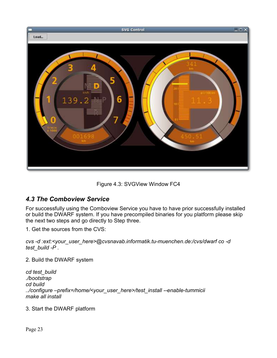

Figure 4.3: SVGView Window FC4

## *4.3 The Comboview Service*

For successfully using the Comboview Service you have to have prior successfully installed or build the DWARF system. If you have precompiled binaries for you platform please skip the next two steps and go directly to Step three.

1. Get the sources from the CVS:

*cvs -d :ext:<your\_user\_here>@cvsnavab.informatik.tu-muenchen.de:/cvs/dwarf co -d test\_build -P .*

2. Build the DWARF system

*cd test\_build ./bootstrap cd build ../configure –prefix=/home/<your\_user\_here>/test\_install --enable-tummicii make all install*

3. Start the DWARF platform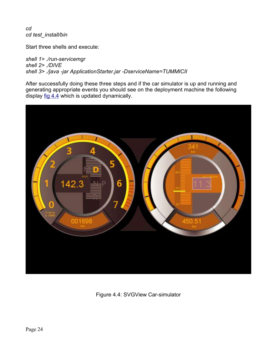*cd cd test\_install/bin*

Start three shells and execute:

*shell 1> ./run-servicemgr shell 2> ./DIVE shell 3> ./java -jar ApplicationStarter.jar -DserviceName=TUMMICII*

After successfully doing these three steps and if the car simulator is up and running and generating appropriate events you should see on the deployment machine the following display  $fig$  4.4 which is updated dynamically.



Figure 4.4: SVGView Car-simulator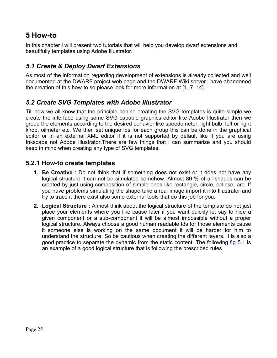## **5 How-to**

In this chapter I will present two tutorials that will help you develop dwarf extensions and beautifully templates using Adobe Illustrator.

## *5.1 Create & Deploy Dwarf Extensions*

As most of the information regarding development of extensions is already collected and well documented at the DWARF project web page and the DWARF Wiki server I have abandoned the creation of this how-to so please look for more information at [1, 7, 14].

### *5.2 Create SVG Templates with Adobe Illustrator*

Till now we all know that the principle behind creating the SVG templates is quite simple we create the interface using some SVG capable graphics editor like Adobe Illustrator then we group the elements according to the desired behavior like speedometer, light bulb, left or right knob, oilmeter etc. We then set unique Ids for each group this can be done in the graphical editor or in an external XML editor if it is not supported by default like if you are using Inkscape not Adobe Illustrator.There are few things that I can summarize and you should keep in mind when creating any type of SVG templates.

#### **5.2.1 How-to create templates**

- 1. **Be Creative** : Do not think that if something does not exist or it does not have any logical structure it can not be simulated somehow. Almost 80 % of all shapes can be created by just using composition of simple ones like rectangle, circle, eclipse, arc. If you have problems simulating the shape take a real image import it into Illustrator and try to trace it there exist also some external tools that do this job for you.
- **2. Logical Structure :** Almost think about the logical structure of the template do not just place your elements where you like cause later if you want quickly let say to hide a given component or a sub-component it will be almost impossible without a proper logical structure. Always choose a good human readable Ids for those elements cause it someone else is working on the same document it will be harder for him to understand the structure. So be cautious when creating the different layers. It is also a good practice to separate the dynamic from the static content. The following fig 5.1 is an example of a good logical structure that is following the prescribed rules.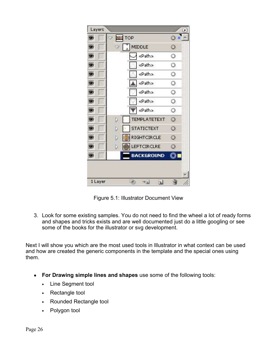

Figure 5.1: Illustrator Document View

3. Look for some existing samples. You do not need to find the wheel a lot of ready forms and shapes and tricks exists and are well documented just do a little googling or see some of the books for the illustrator or svg development.

Next I will show you which are the most used tools in Illustrator in what context can be used and how are created the generic components in the template and the special ones using them.

- **• For Drawing simple lines and shapes** use some of the following tools:
	- Line Segment tool
	- Rectangle tool
	- Rounded Rectangle tool
	- Polygon tool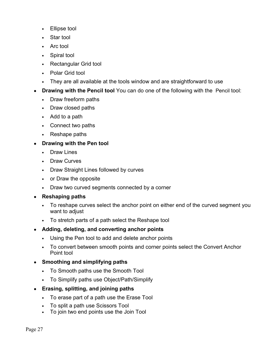- Ellipse tool
- Star tool
- Arc tool
- Spiral tool
- Rectangular Grid tool
- Polar Grid tool
- They are all available at the tools window and are straightforward to use
- **• Drawing with the Pencil tool** You can do one of the following with the Pencil tool:
	- Draw freeform paths
	- Draw closed paths
	- Add to a path
	- Connect two paths
	- Reshape paths
- **• Drawing with the Pen tool**
	- Draw Lines
	- Draw Curves
	- Draw Straight Lines followed by curves
	- or Draw the opposite
	- Draw two curved segments connected by a corner
- **• Reshaping paths**
	- To reshape curves select the anchor point on either end of the curved segment you want to adjust
	- To stretch parts of a path select the Reshape tool
- **• Adding, deleting, and converting anchor points**
	- Using the Pen tool to add and delete anchor points
	- To convert between smooth points and corner points select the Convert Anchor Point tool

#### **• Smoothing and simplifying paths**

- To Smooth paths use the Smooth Tool
- To Simplify paths use Object/Path/Simplify
- **• Erasing, splitting, and joining paths**
	- To erase part of a path use the Erase Tool
	- To split a path use Scissors Tool
	- To join two end points use the Join Tool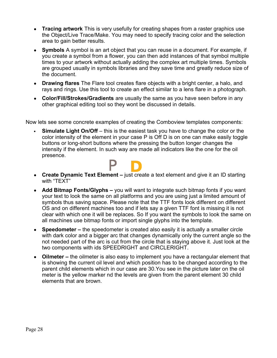- **• Tracing artwork** This is very usefully for creating shapes from a raster graphics use the Object/Live Trace/Make. You may need to specify tracing color and the selection area to gain better results.
- **• Symbols** A symbol is an art object that you can reuse in a document. For example, if you create a symbol from a flower, you can then add instances of that symbol multiple times to your artwork without actually adding the complex art multiple times. Symbols are grouped usually in symbols libraries and they save time and greatly reduce size of the document.
- **• Drawing flares** The Flare tool creates flare objects with a bright center, a halo, and rays and rings. Use this tool to create an effect similar to a lens flare in a photograph.
- **• Color/Fill/Strokes/Gradients** are usually the same as you have seen before in any other graphical editing tool so they wont be discussed in details.

Now lets see some concrete examples of creating the Comboview templates components:

• **Simulate Light On/Off** – this is the easiest task you have to change the color or the color intensity of the element in your case P is Off D is on one can make easily toggle buttons or long-short buttons where the pressing the button longer changes the intensity if the element. In such way are made all indicators like the one for the oil presence.



- **• Create Dynamic Text Element –** just create a text element and give it an ID starting with "TEXT"
- **• Add Bitmap Fonts/Glyphs –** you will want to integrate such bitmap fonts if you want your text to look the same on all platforms and you are using just a limited amount of symbols thus saving space. Please note that the TTF fonts look different on different OS and on different machines too and if lets say a given TTF font is missing it is not clear with which one it will be replaces. So If you want the symbols to look the same on all machines use bitmap fonts or import single glyphs into the template.
- **• Speedometer –** the speedometer is created also easily it is actually a smaller circle with dark color and a bigger arc that changes dynamically only the current angle so the not needed part of the arc is cut from the circle that is staying above it. Just look at the two components with ids SPEEDRIGHT and CIRCLERIGHT.
- **• Oilmeter –** the oilmeter is also easy to implement you have a rectangular element that is showing the current oil level and which position has to be changed according to the parent child elements which in our case are 30.You see in the picture later on the oil meter is the yellow marker nd the levels are given from the parent element 30 child elements that are brown.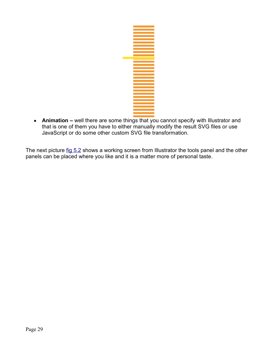

**• Animation –** well there are some things that you cannot specify with Illustrator and that is one of them you have to either manually modify the result SVG files or use JavaScript or do some other custom SVG file transformation.

The next picture fig 5.2 shows a working screen from Illustrator the tools panel and the other panels can be placed where you like and it is a matter more of personal taste.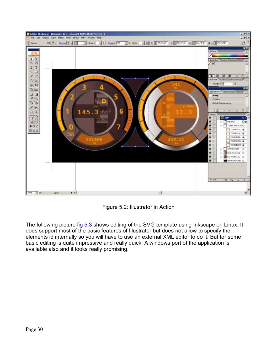

Figure 5.2: Illustrator in Action

The following picture fig 5.3 shows editing of the SVG template using Inkscape on Linux. It does support most of the basic features of Illustrator but does not allow to specify the elements id internally so you will have to use an external XML editor to do it. But for some basic editing is quite impressive and really quick. A windows port of the application is available also and it looks really promising.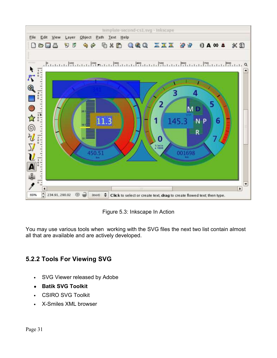

Figure 5.3: Inkscape In Action

You may use various tools when working with the SVG files the next two list contain almost all that are available and are actively developed.

## **5.2.2 Tools For Viewing SVG**

- SVG Viewer released by Adobe
- **• Batik SVG Toolkit**
- CSIRO SVG Toolkit
- X-Smiles XML browser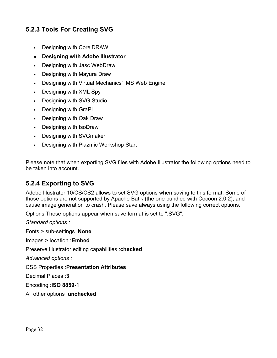## **5.2.3 Tools For Creating SVG**

- Designing with CorelDRAW
- **• Designing with Adobe Illustrator**
- Designing with Jasc WebDraw
- Designing with Mayura Draw
- Designing with Virtual Mechanics' IMS Web Engine
- Designing with XML Spy
- Designing with SVG Studio
- Designing with GraPL
- Designing with Oak Draw
- Designing with IsoDraw
- Designing with SVGmaker
- Designing with Plazmic Workshop Start

Please note that when exporting SVG files with Adobe Illustrator the following options need to be taken into account.

### **5.2.4 Exporting to SVG**

Adobe Illustrator 10/CS/CS2 allows to set SVG options when saving to this format. Some of those options are not supported by Apache Batik (the one bundled with Cocoon 2.0.2), and cause image generation to crash. Please save always using the following correct options.

Options Those options appear when save format is set to ".SVG".

*Standard options :* 

Fonts > sub-settings :**None**

Images > location :**Embed**

Preserve Illustrator editing capabilities :**checked**

*Advanced options :* 

CSS Properties :**Presentation Attributes**

Decimal Places :**3**

Encoding :**ISO 8859-1**

All other options :**unchecked**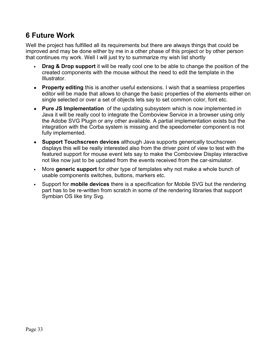## **6 Future Work**

Well the project has fulfilled all its requirements but there are always things that could be improved and may be done either by me in a other phase of this project or by other person that continues my work. Well I will just try to summarize my wish list shortly

- **Drag & Drop support** it will be really cool one to be able to change the position of the created components with the mouse without the need to edit the template in the Illustrator.
- **• Property editing** this is another useful extensions. I wish that a seamless properties editor will be made that allows to change the basic properties of the elements either on single selected or over a set of objects lets say to set common color, font etc.
- **• Pure JS Implementation** of the updating subsystem which is now implemented in Java it will be really cool to integrate the Comboview Service in a browser using only the Adobe SVG Plugin or any other available. A partial implementation exists but the integration with the Corba system is missing and the speedometer component is not fully implemented.
- **• Support Touchscreen devices** although Java supports generically touchscreen displays this will be really interested also from the driver point of view to test with the featured support for mouse event lets say to make the Comboview Display interactive not like now just to be updated from the events received from the car-simulator.
- More **generic support** for other type of templates why not make a whole bunch of usable components switches, buttons, markers etc.
- Support for **mobile devices** there is a specification for Mobile SVG but the rendering part has to be re-written from scratch in some of the rendering libraries that support Symbian OS like tiny Svg.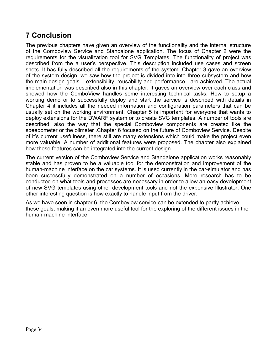## **7 Conclusion**

The previous chapters have given an overview of the functionality and the internal structure of the Comboview Service and Standalone application. The focus of Chapter 2 were the requirements for the visualization tool for SVG Templates. The functionality of project was described from the a user's perspective. This description included use cases and screen shots. It has fully described all the requirements of the system. Chapter 3 gave an overview of the system design, we saw how the project is divided into into three subsystem and how the main design goals – extensibility, reusability and performance - are achieved. The actual implementation was described also in this chapter. It gaves an overview over each class and showed how the ComboView handles some interesting technical tasks. How to setup a working demo or to successfully deploy and start the service is described with details in Chapter 4 it includes all the needed information and configuration parameters that can be usually set on the working environment. Chapter 5 is important for everyone that wants to deploy extensions for the DWARF system or to create SVG templates. A number of tools are described, also the way that the special Comboview components are created like the speedometer or the oilmeter .Chapter 6 focused on the future of Comboview Service. Despite of it's current usefulness, there still are many extensions which could make the project even more valuable. A number of additional features were proposed. The chapter also explained how these features can be integrated into the current design.

The current version of the Comboview Service and Standalone application works reasonably stable and has proven to be a valuable tool for the demonstration and improvement of the human-machine interface on the car systems. It is used currently in the car-simulator and has been successfully demonstrated on a number of occasions. More research has to be conducted on what tools and processes are necessary in order to allow an easy development of new SVG templates using other development tools and not the expensive Illustrator. One other interesting question is how exactly to handle input from the driver.

As we have seen in chapter 6, the Comboview service can be extended to partly achieve these goals, making it an even more useful tool for the exploring of the different issues in the human-machine interface.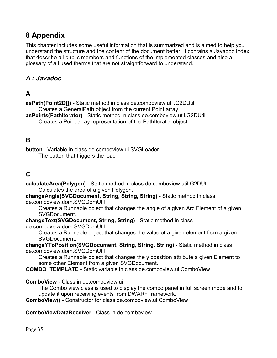## **8 Appendix**

This chapter includes some useful information that is summarized and is aimed to help you understand the structure and the content of the document better. It contains a Javadoc Index that describe all public members and functions of the implemented classes and also a glossary of all used therms that are not straightforward to understand.

## *A : Javadoc*

## **A**

**asPath(Point2D[])** - Static method in class de.comboview.util.G2DUtil Creates a GeneralPath object from the current Point array. **asPoints(PathIterator)** - Static method in class de.comboview.util.G2DUtil

Creates a Point array representation of the PathIterator object.

## **B**

**button** - Variable in class de.comboview.ui.SVGLoader The button that triggers the load

### **C**

**calculateArea(Polygon)** - Static method in class de.comboview.util.G2DUtil Calculates the area of a given Polygon.

**changeAngle(SVGDocument, String, String, String)** - Static method in class de.comboview.dom.SVGDomUtil

Creates a Runnable object that changes the angle of a given Arc Element of a given SVGDocument.

**changeText(SVGDocument, String, String)** - Static method in class de.comboview.dom.SVGDomUtil

Creates a Runnable object that changes the value of a given element from a given SVGDocument.

**changeYToPosition(SVGDocument, String, String, String)** - Static method in class de.comboview.dom.SVGDomUtil

Creates a Runnable object that changes the y possition attribute a given Element to some other Element from a given SVGDocument.

**COMBO\_TEMPLATE** - Static variable in class de.comboview.ui.ComboView

**ComboView** - Class in de.comboview.ui

The Combo view class is used to display the combo panel in full screen mode and to update it upon receiving events from DWARF framework.

**ComboView()** - Constructor for class de.comboview.ui.ComboView

**ComboViewDataReceiver** - Class in de comboview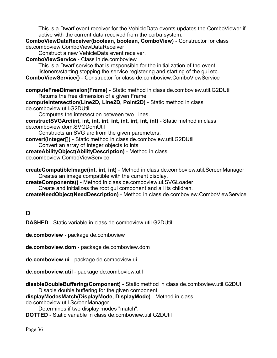This is a Dwarf event receiver for the VehicleData events updates the ComboViewer if active with the current data received from the corba system.

**ComboViewDataReceiver(boolean, boolean, ComboView)** - Constructor for class de.comboview.ComboViewDataReceiver

Construct a new VehicleData event receiver.

**ComboViewService** - Class in de.comboview

This is a Dwarf service that is responsible for the initialization of the event listeners/starting stopping the service registering and starting of the gui etc. **ComboViewService()** - Constructor for class de.comboview.ComboViewService

**computeFreeDimension(Frame)** - Static method in class de.comboview.util.G2DUtil Returns the free dimension of a given Frame.

**computeIntersection(Line2D, Line2D, Point2D)** - Static method in class de.comboview.util.G2DUtil

Computes the intersection between two Lines.

**constructSVGArc(int, int, int, int, int, int, int, int, int)** - Static method in class de.comboview.dom.SVGDomUtil

Constructs an SVG arc from the given paremeters.

**convert(Integer[])** - Static method in class de.comboview.util.G2DUtil Convert an array of Integer objects to ints

**createAbilityObject(AbilityDescription)** - Method in class

de.comboview.ComboViewService

**createCompatibleImage(int, int, int)** - Method in class de.comboview.util.ScreenManager Creates an image compatible with the current display.

**createComponents()** - Method in class de.comboview.ui.SVGLoader

Create and initializes the root gui component and all its children.

**createNeedObject(NeedDescription)** - Method in class de.comboview.ComboViewService

**D**

**DASHED** - Static variable in class de.comboview.util.G2DUtil

**de.comboview** - package de.comboview

**de.comboview.dom** - package de.comboview.dom

**de.comboview.ui** - package de.comboview.ui

**de.comboview.util** - package de.comboview.util

**disableDoubleBuffering(Component)** - Static method in class de.comboview.util.G2DUtil Disable double buffering for the given component.

**displayModesMatch(DisplayMode, DisplayMode)** - Method in class

de.comboview.util.ScreenManager

Determines if two display modes "match".

**DOTTED** - Static variable in class de.comboview.util.G2DUtil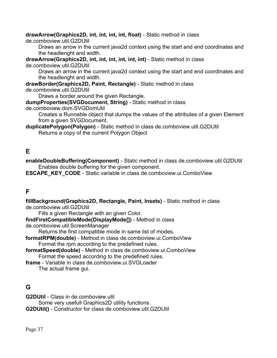#### **drawArrow(Graphics2D, int, int, int, int, float)** - Static method in class

de.comboview.util.G2DUtil

Draws an arrow in the current java2d context using the start and end coordinates and the headlenght and width.

**drawArrow(Graphics2D, int, int, int, int, int, int)** - Static method in class de.comboview.util.G2DUtil

Draws an arrow in the current java2d context using the start and end coordinates and the headlenght and width.

**drawBorder(Graphics2D, Paint, Rectangle)** - Static method in class de.comboview.util.G2DUtil

Draws a border around the given Rectangle.

**dumpProperties(SVGDocument, String)** - Static method in class

de.comboview.dom.SVGDomUtil

Creates a Runnable object that dumps the values of the attributes of a given Element from a given SVGDocument.

**duplicatePolygon(Polygon)** - Static method in class de.comboview.util.G2DUtil Returns a copy of the current Polygon Object

## **E**

**enableDoubleBuffering(Component)** - Static method in class de.comboview.util.G2DUtil Enables double buffering for the given component.

**ESCAPE\_KEY\_CODE** - Static variable in class de.comboview.ui.ComboView

## **F**

**fillBackground(Graphics2D, Rectangle, Paint, Insets)** - Static method in class de.comboview.util.G2DUtil

Fills a given Rectangle with an given Color.

**findFirstCompatibleMode(DisplayMode[])** - Method in class

de.comboview.util.ScreenManager

Returns the first compatible mode in same list of modes.

- **formatRPM(double)** Method in class de.comboview.ui.ComboView Format the rpm according to the predefined rules.
- **formatSpeed(double)** Method in class de.comboview.ui.ComboView Format the speed according to the predefined rules.
- **frame** Variable in class de.comboview.ui.SVGLoader The actual frame gui.

## **G**

**G2DUtil** - Class in de.comboview.util

Some very usefull Graphics2D utility functions.

**G2DUtil()** - Constructor for class de.comboview.util.G2DUtil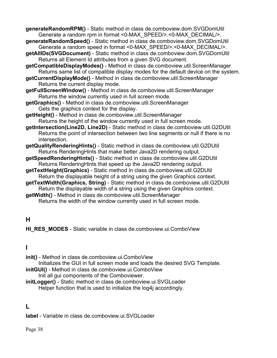**generateRandomRPM()** - Static method in class de.comboview.dom.SVGDomUtil Generate a random rpm in format <0-MAX\_SPEED/>.<0-MAX\_DECIMAL/>.

- **generateRandomSpeed()** Static method in class de.comboview.dom.SVGDomUtil Generate a random speed in format <0-MAX\_SPEED/>.<0-MAX\_DECIMAL/>.
- **getAllIDs(SVGDocument)** Static method in class de.comboview.dom.SVGDomUtil Returns all Element Id attributes from a given SVG document.
- **getCompatibleDisplayModes()** Method in class de.comboview.util.ScreenManager Returns same list of compatible display modes for the default device on the system.
- **getCurrentDisplayMode()** Method in class de.comboview.util.ScreenManager Returns the current display mode.
- **getFullScreenWindow()** Method in class de.comboview.util.ScreenManager Returns the window currently used in full screen mode.
- **getGraphics()** Method in class de.comboview.util.ScreenManager Gets the graphics context for the display.
- **getHeight()** Method in class de.comboview.util.ScreenManager Returns the height of the window currently used in full screen mode.
- **getIntersection(Line2D, Line2D)** Static method in class de.comboview.util.G2DUtil Returns the point of intersection between two line segments or null if there is no intersection.
- **getQualityRenderingHints()** Static method in class de.comboview.util.G2DUtil Returns RenderingHints that make better Java2D rendering output.
- **getSpeedRenderingHints()** Static method in class de.comboview.util.G2DUtil Returns RenderingHints that speed up the Java2D rendering output.
- **getTextHeight(Graphics)** Static method in class de.comboview.util.G2DUtil Return the displayable height of a string using the given Graphics context.
- **getTextWidth(Graphics, String)** Static method in class de.comboview.util.G2DUtil Return the displayable width of a string using the given Graphics context.
- **getWidth()** Method in class de.comboview.util.ScreenManager Returns the width of the window currently used in full screen mode.

## **H**

**HI\_RES\_MODES** - Static variable in class de.comboview.ui.ComboView

## **I**

**init()** - Method in class de.comboview.ui.ComboView

Initializes the GUI in full screen mode and loads the desired SVG Template. **initGUI()** - Method in class de.comboview.ui.ComboView

Init all gui components of the Comboviewer.

**initLogger()** - Static method in class de.comboview.ui.SVGLoader Helper function that is used to initialize the log4j accordingly.

## **L**

**label** - Variable in class de.comboview.ui.SVGLoader

Page 38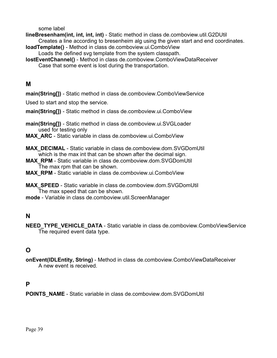some label

**lineBresenham(int, int, int, int)** - Static method in class de.comboview.util.G2DUtil Creates a line according to bresenheim alg using the given start and end coordinates.

- **loadTemplate()** Method in class de.comboview.ui.ComboView Loads the defined svg template from the system classpath.
- **lostEventChannel()** Method in class de.comboview.ComboViewDataReceiver Case that some event is lost during the transportation.

### **M**

**main(String[])** - Static method in class de.comboview.ComboViewService

Used to start and stop the service.

**main(String[])** - Static method in class de.comboview.ui.ComboView

**main(String[])** - Static method in class de.comboview.ui.SVGLoader used for testing only

**MAX\_ARC** - Static variable in class de.comboview.ui.ComboView

**MAX\_DECIMAL** - Static variable in class de.comboview.dom.SVGDomUtil which is the max int that can be shown after the decimal sign.

**MAX\_RPM** - Static variable in class de.comboview.dom.SVGDomUtil The max rpm that can be shown.

MAX RPM - Static variable in class de.comboview.ui.ComboView

**MAX\_SPEED** - Static variable in class de.comboview.dom.SVGDomUtil The max speed that can be shown.

**mode** - Variable in class de.comboview.util.ScreenManager

## **N**

**NEED\_TYPE\_VEHICLE\_DATA** - Static variable in class de.comboview.ComboViewService The required event data type.

## **O**

**onEvent(IDLEntity, String)** - Method in class de.comboview.ComboViewDataReceiver A new event is received.

### **P**

**POINTS\_NAME** - Static variable in class de.comboview.dom.SVGDomUtil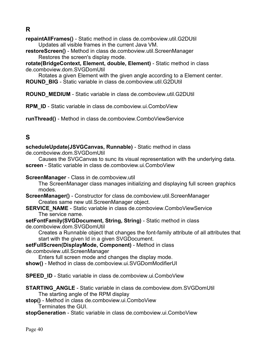**R**

**repaintAllFrames()** - Static method in class de.comboview.util.G2DUtil Updates all visible frames in the current Java VM.

**restoreScreen()** - Method in class de.comboview.util.ScreenManager Restores the screen's display mode.

**rotate(BridgeContext, Element, double, Element)** - Static method in class de.comboview.dom.SVGDomUtil

Rotates a given Element with the given angle according to a Element center. **ROUND\_BIG** - Static variable in class de.comboview.util.G2DUtil

**ROUND\_MEDIUM** - Static variable in class de.comboview.util.G2DUtil

**RPM\_ID** - Static variable in class de.comboview.ui.ComboView

**runThread()** - Method in class de.comboview.ComboViewService

## **S**

**scheduleUpdate(JSVGCanvas, Runnable)** - Static method in class

de.comboview.dom.SVGDomUtil

Causes the SVGCanvas to sunc its visual representation with the underlying data. **screen** - Static variable in class de.comboview.ui.ComboView

**ScreenManager** - Class in de.comboview.util

The ScreenManager class manages initializing and displaying full screen graphics modes.

**ScreenManager()** - Constructor for class de.comboview.util.ScreenManager Creates same new util.ScreenManager object.

**SERVICE\_NAME** - Static variable in class de.comboview.ComboViewService The service name.

**setFontFamily(SVGDocument, String, String)** - Static method in class de.comboview.dom.SVGDomUtil

Creates a Runnable object that changes the font-family attribute of all attributes that start with the given Id in a given SVGDocument.

**setFullScreen(DisplayMode, Component)** - Method in class

de.comboview.util.ScreenManager

Enters full screen mode and changes the display mode.

**show()** - Method in class de.comboview.ui.SVGDomModifierUI

**SPEED\_ID** - Static variable in class de.comboview.ui.ComboView

- **STARTING\_ANGLE** Static variable in class de.comboview.dom.SVGDomUtil The starting angle of the RPM display
- **stop()** Method in class de.comboview.ui.ComboView Terminates the GUI.

#### **stopGeneration** - Static variable in class de.comboview.ui.ComboView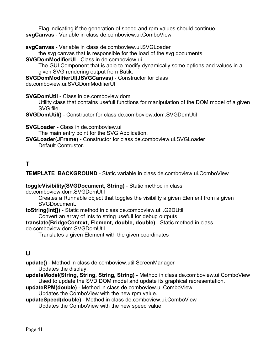Flag indicating if the generation of speed and rpm values should continue. **svgCanvas** - Variable in class de.comboview.ui.ComboView

**svgCanvas** - Variable in class de.comboview.ui.SVGLoader

the svg canvas that is responsible for the load of the svg documents

**SVGDomModifierUI** - Class in de.comboview.ui

The GUI Component that is able to modify dynamically some options and values in a given SVG rendering output from Batik.

**SVGDomModifierUI(JSVGCanvas)** - Constructor for class

de.comboview.ui.SVGDomModifierUI

**SVGDomUtil** - Class in de.comboview.dom

Utility class that contains usefull functions for manipulation of the DOM model of a given SVG file.

**SVGDomUtil()** - Constructor for class de.comboview.dom.SVGDomUtil

**SVGLoader** - Class in de.comboview.ui

The main entry point for the SVG Application.

**SVGLoader(JFrame)** - Constructor for class de.comboview.ui.SVGLoader Default Contrustor.

## **T**

**TEMPLATE\_BACKGROUND** - Static variable in class de.comboview.ui.ComboView

#### **toggleVisibility(SVGDocument, String)** - Static method in class

de.comboview.dom.SVGDomUtil

Creates a Runnable object that toggles the visibility a given Element from a given SVGDocument.

**toString(int[])** - Static method in class de.comboview.util.G2DUtil

Convert an array of ints to string usefull for debug outputs

**translate(BridgeContext, Element, double, double)** - Static method in class de.comboview.dom.SVGDomUtil

Translates a given Element with the given coordinates

## **U**

**update()** - Method in class de.comboview.util.ScreenManager Updates the display.

- **updateModel(String, String, String, String)** Method in class de.comboview.ui.ComboView Used to update the SVD DOM model and update its graphical representation.
- **updateRPM(double)** Method in class de.comboview.ui.ComboView

Updates the ComboView with the new rpm value.

**updateSpeed(double)** - Method in class de.comboview.ui.ComboView Updates the ComboView with the new speed value.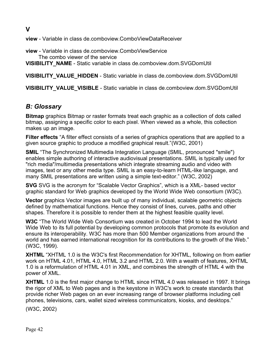**view** - Variable in class de.comboview.ComboViewDataReceiver

**view** - Variable in class de.comboview.ComboViewService The combo viewer of the service **VISIBILITY\_NAME** - Static variable in class de.comboview.dom.SVGDomUtil

**VISIBILITY\_VALUE\_HIDDEN** - Static variable in class de.comboview.dom.SVGDomUtil

**VISIBILITY\_VALUE\_VISIBLE** - Static variable in class de.comboview.dom.SVGDomUtil

## *B: Glossary*

**Bitmap** graphics Bitmap or raster formats treat each graphic as a collection of dots called bitmap, assigning a specific color to each pixel. When viewed as a whole, this collection makes up an image.

**Filter effects** "A filter effect consists of a series of graphics operations that are applied to a given source graphic to produce a modified graphical result."(W3C, 2001)

**SMIL** "The Synchronized Multimedia Integration Language (SMIL, pronounced "smile") enables simple authoring of interactive audiovisual presentations. SMIL is typically used for "rich media"/multimedia presentations which integrate streaming audio and video with images, text or any other media type. SMIL is an easy-to-learn HTML-like language, and many SMIL presentations are written using a simple text-editor." (W3C, 2002)

**SVG** SVG is the acronym for "Scalable Vector Graphics", which is a XML- based vector graphic standard for Web graphics developed by the World Wide Web consortium (W3C).

**Vector** graphics Vector images are built up of many individual, scalable geometric objects defined by mathematical functions. Hence they consist of lines, curves, paths and other shapes. Therefore it is possible to render them at the highest feasible quality level.

**W3C** "The World Wide Web Consortium was created in October 1994 to lead the World Wide Web to its full potential by developing common protocols that promote its evolution and ensure its interoperability. W3C has more than 500 Member organizations from around the world and has earned international recognition for its contributions to the growth of the Web." (W3C, 1999).

**XHTML** "XHTML 1.0 is the W3C's first Recommendation for XHTML, following on from earlier work on HTML 4.01, HTML 4.0, HTML 3.2 and HTML 2.0. With a wealth of features, XHTML 1.0 is a reformulation of HTML 4.01 in XML, and combines the strength of HTML 4 with the power of XML.

**XHTML** 1.0 is the first major change to HTML since HTML 4.0 was released in 1997. It brings the rigor of XML to Web pages and is the keystone in W3C's work to create standards that provide richer Web pages on an ever increasing range of browser platforms including cell phones, televisions, cars, wallet sized wireless communicators, kiosks, and desktops."

(W3C, 2002)

**V**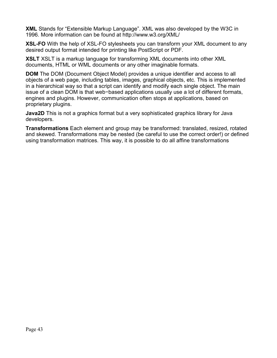**XML** Stands for "Extensible Markup Language". XML was also developed by the W3C in 1996. More information can be found at http://www.w3.org/XML/

**XSL-FO** With the help of XSL-FO stylesheets you can transform your XML document to any desired output format intended for printing like PostScript or PDF.

**XSLT** XSLT is a markup language for transforming XML documents into other XML documents, HTML or WML documents or any other imaginable formats.

**DOM** The DOM (Document Object Model) provides a unique identifier and access to all objects of a web page, including tables, images, graphical objects, etc. This is implemented in a hierarchical way so that a script can identify and modify each single object. The main issue of a clean DOM is that web−based applications usually use a lot of different formats, engines and plugins. However, communication often stops at applications, based on proprietary plugins.

**Java2D** This is not a graphics format but a very sophisticated graphics library for Java developers.

**Transformations** Each element and group may be transformed: translated, resized, rotated and skewed. Transformations may be nested (be careful to use the correct order!) or defined using transformation matrices. This way, it is possible to do all affine transformations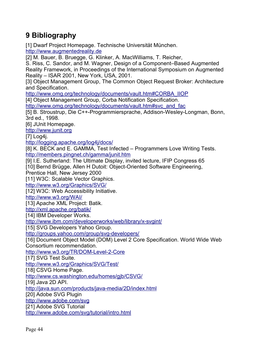## **9 Bibliography**

[1] Dwarf Project Homepage. Technische Universität München. http://www.augmentedreality.de

[2] M. Bauer, B. Bruegge, G. Klinker, A. MacWilliams, T. Reicher,

S. Riss, C. Sandor, and M. Wagner, Design of a Component–Based Augmented Reality Framework, in Proceedings of the International Symposium on Augmented Reality – ISAR 2001, New York, USA, 2001.

[3] Object Management Group, The Common Object Request Broker: Architecture and Specification.

http://www.omg.org/technology/documents/vault.htm#CORBA\_IIOP

[4] Object Management Group, Corba Notification Specification.

http://www.omg.org/technology/documents/vault.htm#svc\_and\_fac

[5] B. Stroustrup, Die C++-Programmiersprache, Addison-Wesley-Longman, Bonn, 3rd ed., 1998.

[6] JUnit Homepage.

http://www.junit.org

[7] Log4j.

http://logging.apache.org/log4j/docs/

[8] K. BECK and E. GAMMA, Test Infected – Programmers Love Writing Tests. http://members.pingnet.ch/gamma/junit.htm

[9] I.E. Sutherland: The Ultimate Display, invited lecture, IFIP Congress 65 [10] Bernd Brügge, Allen H Dutoit: Object-Oriented Software Engineering,

Prentice Hall, New Jersey 2000

[11] W3C: Scalable Vector Graphics.

http://www.w3.org/Graphics/SVG/

[12] W3C: Web Accessibility Initiative.

http://www.w3.org/WAI/

[13] Apache XML Project: Batik.

http://xml.apache.org/batik/

[14] IBM Developer Works.

http://www.ibm.com/developerworks/web/library/x-svgint/

[15] SVG Developers Yahoo Group.

http://groups.yahoo.com/group/svg-developers/

[16] Document Object Model (DOM) Level 2 Core Specification. World Wide Web Consortium recommendation.

http://www.w3.org/TR/DOM-Level-2-Core

[17] SVG Test Suite.

http://www.w3.org/Graphics/SVG/Test/

[18] CSVG Home Page.

http://www.cs.washington.edu/homes/gjb/CSVG/

[19] Java 2D API.

http://java.sun.com/products/java-media/2D/index.html

[20] Adobe SVG Plugin

http://www.adobe.com/svg

[21] Adobe SVG Tutorial

http://www.adobe.com/svg/tutorial/intro.html